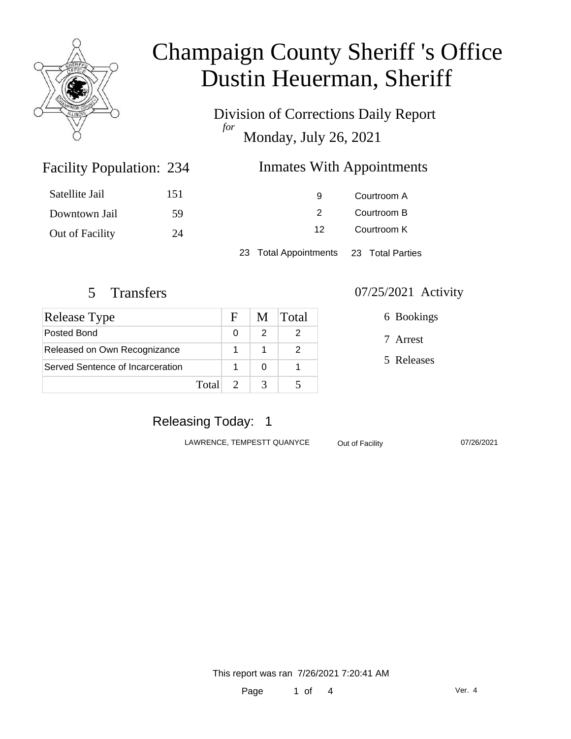

Division of Corrections Daily Report *for* Monday, July 26, 2021

### Inmates With Appointments

| Satellite Jail  | 151 | 9                                      | Courtroom A |  |
|-----------------|-----|----------------------------------------|-------------|--|
| Downtown Jail   | -59 | 2                                      | Courtroom B |  |
| Out of Facility | 24  | 12                                     | Courtroom K |  |
|                 |     | 23 Total Appointments 23 Total Parties |             |  |

Facility Population: 234

| <b>Release Type</b>              |       | $\mathbf{F}$ |   | M Total |
|----------------------------------|-------|--------------|---|---------|
| Posted Bond                      |       | U            | 2 |         |
| Released on Own Recognizance     |       |              |   |         |
| Served Sentence of Incarceration |       |              |   |         |
|                                  | Total |              |   |         |

#### 5 Transfers 07/25/2021 Activity

6 Bookings

7 Arrest

5 Releases

### Releasing Today: 1

LAWRENCE, TEMPESTT QUANYCE Out of Facility 07/26/2021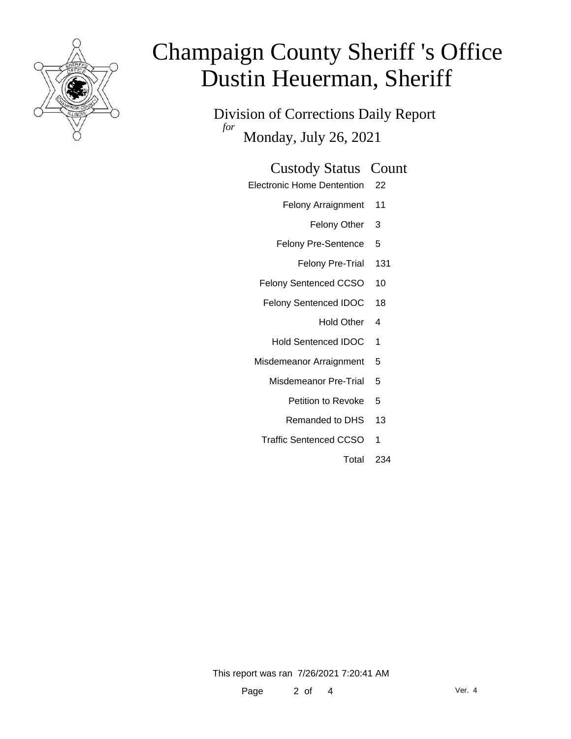

Division of Corrections Daily Report *for* Monday, July 26, 2021

### Custody Status Count

- Electronic Home Dentention 22
	- Felony Arraignment 11
		- Felony Other 3
	- Felony Pre-Sentence 5
		- Felony Pre-Trial 131
	- Felony Sentenced CCSO 10
	- Felony Sentenced IDOC 18
		- Hold Other 4
		- Hold Sentenced IDOC 1
	- Misdemeanor Arraignment 5
		- Misdemeanor Pre-Trial 5
			- Petition to Revoke 5
			- Remanded to DHS 13
		- Traffic Sentenced CCSO 1
			- Total 234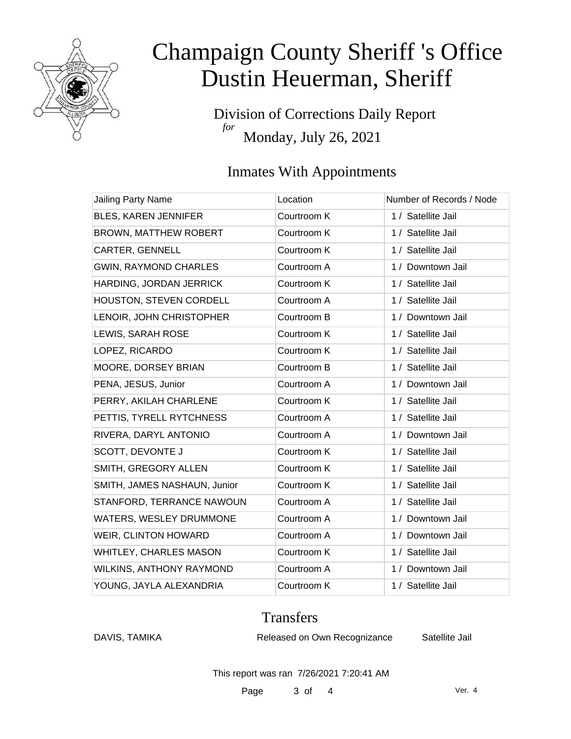

Division of Corrections Daily Report *for* Monday, July 26, 2021

### Inmates With Appointments

| Jailing Party Name            | Location    | Number of Records / Node |
|-------------------------------|-------------|--------------------------|
| BLES, KAREN JENNIFER          | Courtroom K | 1 / Satellite Jail       |
| <b>BROWN, MATTHEW ROBERT</b>  | Courtroom K | 1 / Satellite Jail       |
| CARTER, GENNELL               | Courtroom K | 1 / Satellite Jail       |
| <b>GWIN, RAYMOND CHARLES</b>  | Courtroom A | 1 / Downtown Jail        |
| HARDING, JORDAN JERRICK       | Courtroom K | 1 / Satellite Jail       |
| HOUSTON, STEVEN CORDELL       | Courtroom A | 1 / Satellite Jail       |
| LENOIR, JOHN CHRISTOPHER      | Courtroom B | 1 / Downtown Jail        |
| LEWIS, SARAH ROSE             | Courtroom K | 1 / Satellite Jail       |
| LOPEZ, RICARDO                | Courtroom K | 1 / Satellite Jail       |
| MOORE, DORSEY BRIAN           | Courtroom B | 1 / Satellite Jail       |
| PENA, JESUS, Junior           | Courtroom A | 1 / Downtown Jail        |
| PERRY, AKILAH CHARLENE        | Courtroom K | 1 / Satellite Jail       |
| PETTIS, TYRELL RYTCHNESS      | Courtroom A | 1 / Satellite Jail       |
| RIVERA, DARYL ANTONIO         | Courtroom A | 1 / Downtown Jail        |
| SCOTT, DEVONTE J              | Courtroom K | 1 / Satellite Jail       |
| SMITH, GREGORY ALLEN          | Courtroom K | 1 / Satellite Jail       |
| SMITH, JAMES NASHAUN, Junior  | Courtroom K | 1 / Satellite Jail       |
| STANFORD, TERRANCE NAWOUN     | Courtroom A | 1 / Satellite Jail       |
| WATERS, WESLEY DRUMMONE       | Courtroom A | 1 / Downtown Jail        |
| WEIR, CLINTON HOWARD          | Courtroom A | 1 / Downtown Jail        |
| <b>WHITLEY, CHARLES MASON</b> | Courtroom K | 1 / Satellite Jail       |
| WILKINS, ANTHONY RAYMOND      | Courtroom A | 1 / Downtown Jail        |
| YOUNG, JAYLA ALEXANDRIA       | Courtroom K | 1 / Satellite Jail       |

### **Transfers**

DAVIS, TAMIKA Released on Own Recognizance Satellite Jail